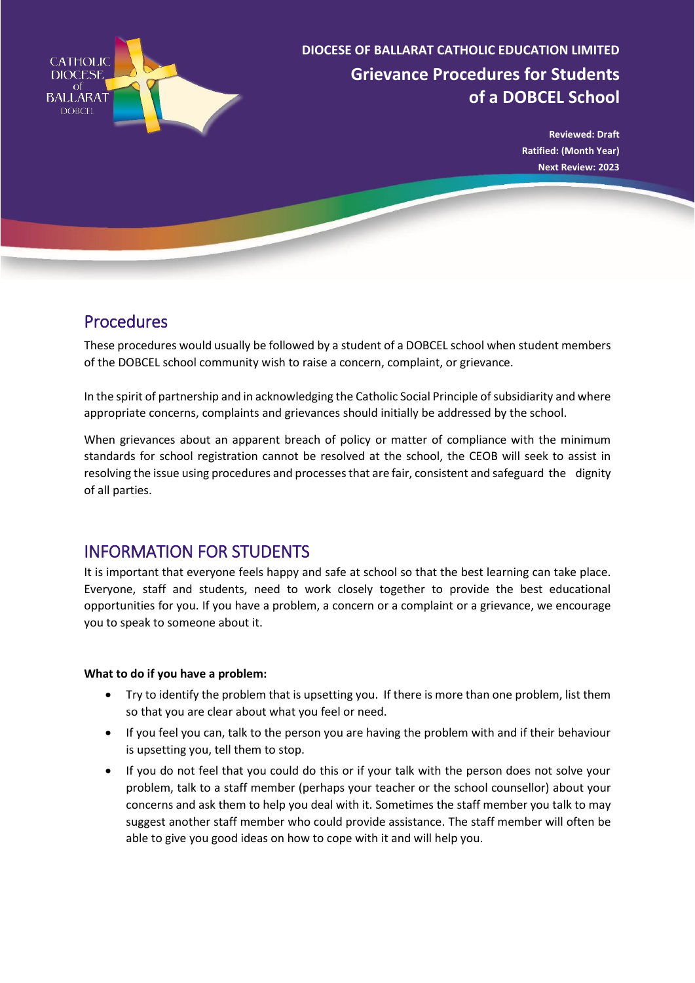

# **Grievance Procedures for Students of a DOBCEL School DIOCESE OF BALLARAT CATHOLIC EDUCATION LIMITED**

**Reviewed: Draft Ratified: (Month Year) Next Review: 2023**

### Procedures

These procedures would usually be followed by a student of a DOBCEL school when student members of the DOBCEL school community wish to raise a concern, complaint, or grievance.

In the spirit of partnership and in acknowledging the Catholic Social Principle of subsidiarity and where appropriate concerns, complaints and grievances should initially be addressed by the school.

When grievances about an apparent breach of policy or matter of compliance with the minimum standards for school registration cannot be resolved at the school, the CEOB will seek to assist in resolving the issue using procedures and processes that are fair, consistent and safeguard the dignity of all parties.

## INFORMATION FOR STUDENTS

It is important that everyone feels happy and safe at school so that the best learning can take place. Everyone, staff and students, need to work closely together to provide the best educational opportunities for you. If you have a problem, a concern or a complaint or a grievance, we encourage you to speak to someone about it.

#### **What to do if you have a problem:**

- Try to identify the problem that is upsetting you. If there is more than one problem, list them so that you are clear about what you feel or need.
- If you feel you can, talk to the person you are having the problem with and if their behaviour is upsetting you, tell them to stop.
- If you do not feel that you could do this or if your talk with the person does not solve your problem, talk to a staff member (perhaps your teacher or the school counsellor) about your concerns and ask them to help you deal with it. Sometimes the staff member you talk to may suggest another staff member who could provide assistance. The staff member will often be able to give you good ideas on how to cope with it and will help you.